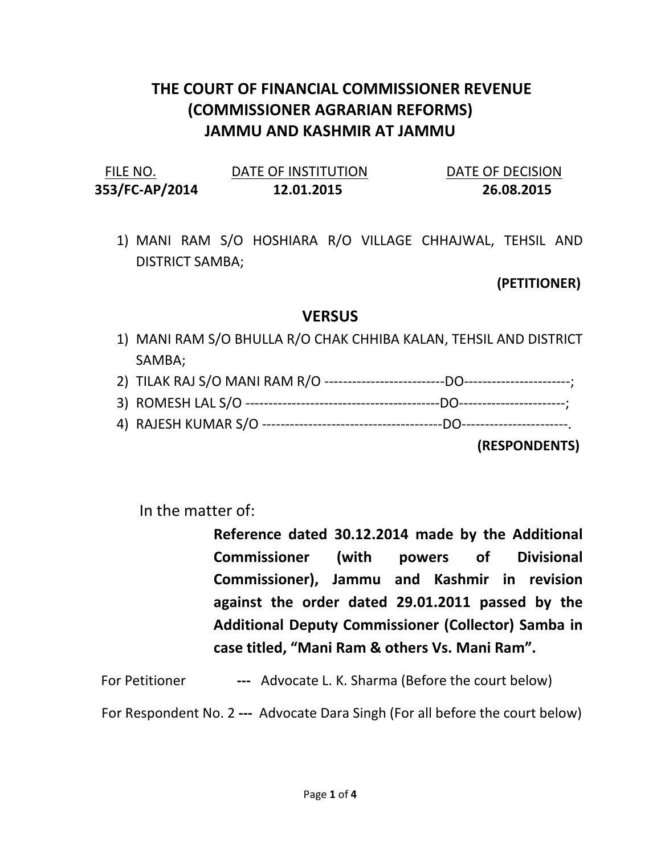## THE COURT OF FINANCIAL COMMISSIONER REVENUE (COMMISSIONER AGRARIAN REFORMS) JAMMU AND KASHMIR AT JAMMU

| FILE NO.       | DATE OF INSTITUTION | DATE OF DECISION |
|----------------|---------------------|------------------|
| 353/FC-AP/2014 | 12.01.2015          | 26.08.2015       |

1) MANI RAM S/O HOSHIARA R/O VILLAGE CHHAJWAL, TEHSIL AND DISTRICT SAMBA;

## (PETITIONER)

## **VERSUS**

- 1) MANI RAM S/O BHULLA R/O CHAK CHHIBA KALAN, TEHSIL AND DISTRICT SAMBA;
- 2) TILAK RAJ S/O MANI RAM R/O --------------------------DO-----------------------;
- 3) ROMESH LAL S/O ------------------------------------------DO-----------------------;
- 4) RAJESH KUMAR S/O ---------------------------------------DO-----------------------.

(RESPONDENTS)

In the matter of:

Reference dated 30.12.2014 made by the Additional Commissioner (with powers of Divisional Commissioner), Jammu and Kashmir in revision against the order dated 29.01.2011 passed by the Additional Deputy Commissioner (Collector) Samba in case titled, "Mani Ram & others Vs. Mani Ram".

For Petitioner --- Advocate L. K. Sharma (Before the court below)

For Respondent No. 2 --- Advocate Dara Singh (For all before the court below)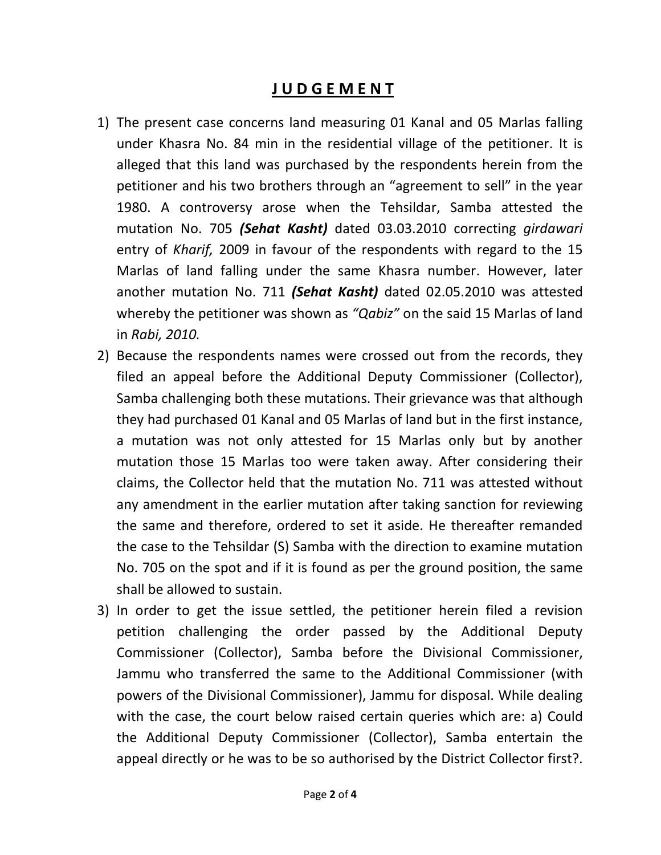## J U D G E M E N T

- 1) The present case concerns land measuring 01 Kanal and 05 Marlas falling under Khasra No. 84 min in the residential village of the petitioner. It is alleged that this land was purchased by the respondents herein from the petitioner and his two brothers through an "agreement to sell" in the year 1980. A controversy arose when the Tehsildar, Samba attested the mutation No. 705 (Sehat Kasht) dated 03.03.2010 correcting girdawari entry of Kharif, 2009 in favour of the respondents with regard to the 15 Marlas of land falling under the same Khasra number. However, later another mutation No. 711 (Sehat Kasht) dated 02.05.2010 was attested whereby the petitioner was shown as "Qabiz" on the said 15 Marlas of land in Rabi, 2010.
- 2) Because the respondents names were crossed out from the records, they filed an appeal before the Additional Deputy Commissioner (Collector), Samba challenging both these mutations. Their grievance was that although they had purchased 01 Kanal and 05 Marlas of land but in the first instance, a mutation was not only attested for 15 Marlas only but by another mutation those 15 Marlas too were taken away. After considering their claims, the Collector held that the mutation No. 711 was attested without any amendment in the earlier mutation after taking sanction for reviewing the same and therefore, ordered to set it aside. He thereafter remanded the case to the Tehsildar (S) Samba with the direction to examine mutation No. 705 on the spot and if it is found as per the ground position, the same shall be allowed to sustain.
- 3) In order to get the issue settled, the petitioner herein filed a revision petition challenging the order passed by the Additional Deputy Commissioner (Collector), Samba before the Divisional Commissioner, Jammu who transferred the same to the Additional Commissioner (with powers of the Divisional Commissioner), Jammu for disposal. While dealing with the case, the court below raised certain queries which are: a) Could the Additional Deputy Commissioner (Collector), Samba entertain the appeal directly or he was to be so authorised by the District Collector first?.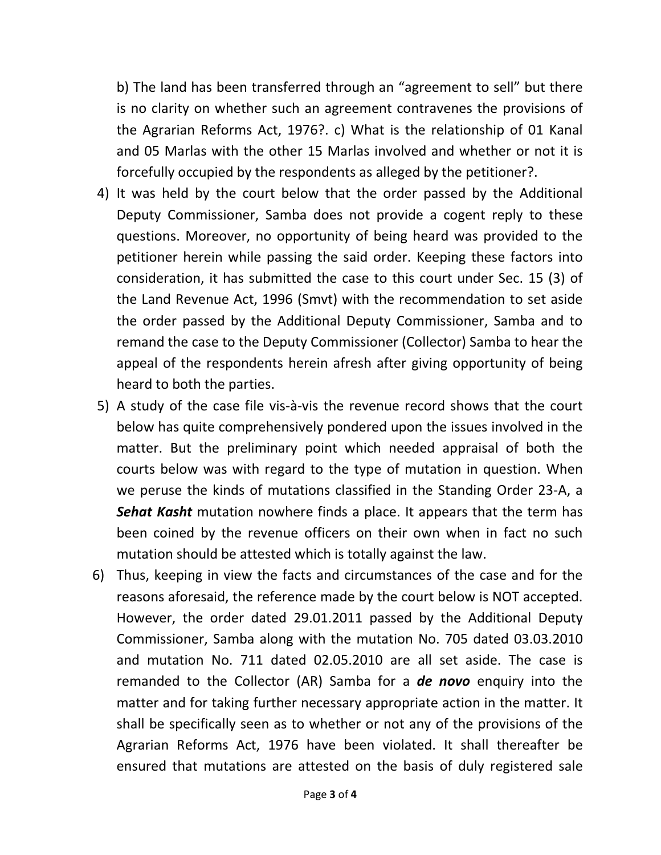b) The land has been transferred through an "agreement to sell" but there is no clarity on whether such an agreement contravenes the provisions of the Agrarian Reforms Act, 1976?. c) What is the relationship of 01 Kanal and 05 Marlas with the other 15 Marlas involved and whether or not it is forcefully occupied by the respondents as alleged by the petitioner?.

- 4) It was held by the court below that the order passed by the Additional Deputy Commissioner, Samba does not provide a cogent reply to these questions. Moreover, no opportunity of being heard was provided to the petitioner herein while passing the said order. Keeping these factors into consideration, it has submitted the case to this court under Sec. 15 (3) of the Land Revenue Act, 1996 (Smvt) with the recommendation to set aside the order passed by the Additional Deputy Commissioner, Samba and to remand the case to the Deputy Commissioner (Collector) Samba to hear the appeal of the respondents herein afresh after giving opportunity of being heard to both the parties.
- 5) A study of the case file vis-à-vis the revenue record shows that the court below has quite comprehensively pondered upon the issues involved in the matter. But the preliminary point which needed appraisal of both the courts below was with regard to the type of mutation in question. When we peruse the kinds of mutations classified in the Standing Order 23-A, a Sehat Kasht mutation nowhere finds a place. It appears that the term has been coined by the revenue officers on their own when in fact no such mutation should be attested which is totally against the law.
- 6) Thus, keeping in view the facts and circumstances of the case and for the reasons aforesaid, the reference made by the court below is NOT accepted. However, the order dated 29.01.2011 passed by the Additional Deputy Commissioner, Samba along with the mutation No. 705 dated 03.03.2010 and mutation No. 711 dated 02.05.2010 are all set aside. The case is remanded to the Collector (AR) Samba for a **de novo** enquiry into the matter and for taking further necessary appropriate action in the matter. It shall be specifically seen as to whether or not any of the provisions of the Agrarian Reforms Act, 1976 have been violated. It shall thereafter be ensured that mutations are attested on the basis of duly registered sale